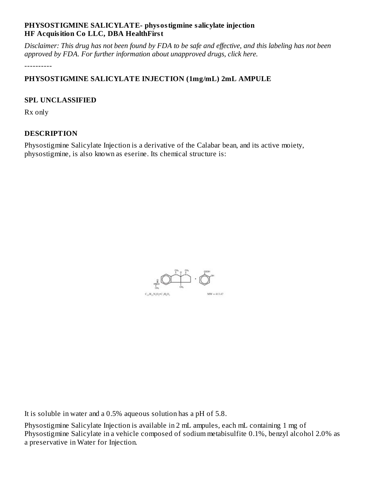### **PHYSOSTIGMINE SALICYLATE- physostigmine salicylate injection HF Acquisition Co LLC, DBA HealthFirst**

Disclaimer: This drug has not been found by FDA to be safe and effective, and this labeling has not been *approved by FDA. For further information about unapproved drugs, click here.*

----------

# **PHYSOSTIGMINE SALICYLATE INJECTION (1mg/mL) 2mL AMPULE**

#### **SPL UNCLASSIFIED**

Rx only

# **DESCRIPTION**

Physostigmine Salicylate Injection is a derivative of the Calabar bean, and its active moiety, physostigmine, is also known as eserine. Its chemical structure is:



It is soluble in water and a 0.5% aqueous solution has a pH of 5.8.

Physostigmine Salicylate Injection is available in 2 mL ampules, each mL containing 1 mg of Physostigmine Salicylate in a vehicle composed of sodium metabisulfite 0.1%, benzyl alcohol 2.0% as a preservative in Water for Injection.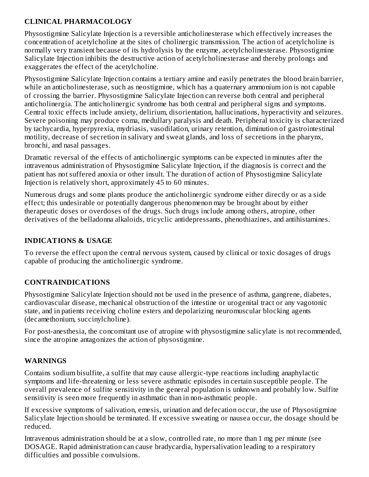# **CLINICAL PHARMACOLOGY**

Physostigmine Salicylate Injection is a reversible anticholinesterase which effectively increases the concentration of acetylcholine at the sites of cholinergic transmission. The action of acetylcholine is normally very transient because of its hydrolysis by the enzyme, acetylcholinesterase. Physostigmine Salicylate Injection inhibits the destructive action of acetylcholinesterase and thereby prolongs and exaggerates the effect of the acetylcholine.

Physostigmine Salicylate Injection contains a tertiary amine and easily penetrates the blood brain barrier, while an anticholinesterase, such as neostigmine, which has a quaternary ammonium ion is not capable of crossing the barrier. Physostigmine Salicylate Injection can reverse both central and peripheral anticholinergia. The anticholinergic syndrome has both central and peripheral signs and symptoms. Central toxic effects include anxiety, delirium, disorientation, hallucinations, hyperactivity and seizures. Severe poisoning may produce coma, medullary paralysis and death. Peripheral toxicity is characterized by tachycardia, hyperpyrexia, mydriasis, vasodilation, urinary retention, diminution of gastrointestinal motility, decrease of secretion in salivary and sweat glands, and loss of secretions in the pharynx, bronchi, and nasal passages.

Dramatic reversal of the effects of anticholinergic symptoms can be expected in minutes after the intravenous administration of Physostigmine Salicylate Injection, if the diagnosis is correct and the patient has not suffered anoxia or other insult. The duration of action of Physostigmine Salicylate Injection is relatively short, approximately 45 to 60 minutes.

Numerous drugs and some plants produce the anticholinergic syndrome either directly or as a side effect; this undesirable or potentially dangerous phenomenon may be brought about by either therapeutic doses or overdoses of the drugs. Such drugs include among others, atropine, other derivatives of the belladonna alkaloids, tricyclic antidepressants, phenothiazines, and antihistamines.

# **INDICATIONS & USAGE**

To reverse the effect upon the central nervous system, caused by clinical or toxic dosages of drugs capable of producing the anticholinergic syndrome.

# **CONTRAINDICATIONS**

Physostigmine Salicylate Injection should not be used in the presence of asthma, gangrene, diabetes, cardiovascular disease, mechanical obstruction of the intestine or urogenital tract or any vagotonic state, and in patients receiving choline esters and depolarizing neuromuscular blocking agents (decamethonium, succinylcholine).

For post-anesthesia, the concomitant use of atropine with physostigmine salicylate is not recommended, since the atropine antagonizes the action of physostigmine.

# **WARNINGS**

Contains sodium bisulfite, a sulfite that may cause allergic-type reactions including anaphylactic symptoms and life-threatening or less severe asthmatic episodes in certain susceptible people. The overall prevalence of sulfite sensitivity in the general population is unknown and probably low. Sulfite sensitivity is seen more frequently in asthmatic than in non-asthmatic people.

If excessive symptoms of salivation, emesis, urination and defecation occur, the use of Physostigmine Salicylate Injection should be terminated. If excessive sweating or nausea occur, the dosage should be reduced.

Intravenous administration should be at a slow, controlled rate, no more than 1 mg per minute (see DOSAGE. Rapid administration can cause bradycardia, hypersalivation leading to a respiratory difficulties and possible convulsions.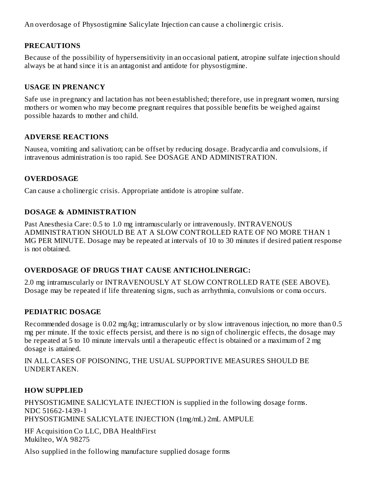An overdosage of Physostigmine Salicylate Injection can cause a cholinergic crisis.

### **PRECAUTIONS**

Because of the possibility of hypersensitivity in an occasional patient, atropine sulfate injection should always be at hand since it is an antagonist and antidote for physostigmine.

#### **USAGE IN PRENANCY**

Safe use in pregnancy and lactation has not been established; therefore, use in pregnant women, nursing mothers or women who may become pregnant requires that possible benefits be weighed against possible hazards to mother and child.

#### **ADVERSE REACTIONS**

Nausea, vomiting and salivation; can be offset by reducing dosage. Bradycardia and convulsions, if intravenous administration is too rapid. See DOSAGE AND ADMINISTRATION.

# **OVERDOSAGE**

Can cause a cholinergic crisis. Appropriate antidote is atropine sulfate.

#### **DOSAGE & ADMINISTRATION**

Past Anesthesia Care: 0.5 to 1.0 mg intramuscularly or intravenously. INTRAVENOUS ADMINISTRATION SHOULD BE AT A SLOW CONTROLLED RATE OF NO MORE THAN 1 MG PER MINUTE. Dosage may be repeated at intervals of 10 to 30 minutes if desired patient response is not obtained.

# **OVERDOSAGE OF DRUGS THAT CAUSE ANTICHOLINERGIC:**

2.0 mg intramuscularly or INTRAVENOUSLY AT SLOW CONTROLLED RATE (SEE ABOVE). Dosage may be repeated if life threatening signs, such as arrhythmia, convulsions or coma occurs.

#### **PEDIATRIC DOSAGE**

Recommended dosage is 0.02 mg/kg; intramuscularly or by slow intravenous injection, no more than 0.5 mg per minute. If the toxic effects persist, and there is no sign of cholinergic effects, the dosage may be repeated at 5 to 10 minute intervals until a therapeutic effect is obtained or a maximum of 2 mg dosage is attained.

IN ALL CASES OF POISONING, THE USUAL SUPPORTIVE MEASURES SHOULD BE UNDERTAKEN.

# **HOW SUPPLIED**

PHYSOSTIGMINE SALICYLATE INJECTION is supplied in the following dosage forms. NDC 51662-1439-1 PHYSOSTIGMINE SALICYLATE INJECTION (1mg/mL) 2mL AMPULE

HF Acquisition Co LLC, DBA HealthFirst Mukilteo, WA 98275

Also supplied in the following manufacture supplied dosage forms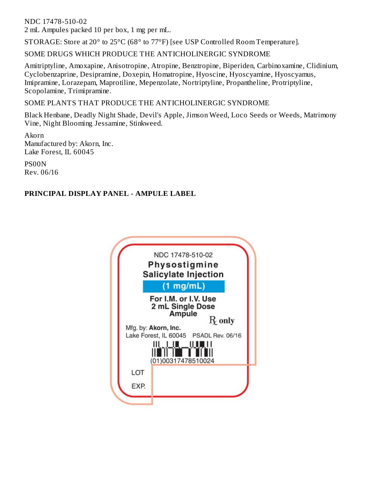NDC 17478-510-02

2 mL Ampules packed 10 per box, 1 mg per mL.

STORAGE: Store at 20° to 25°C (68° to 77°F) [see USP Controlled Room Temperature].

SOME DRUGS WHICH PRODUCE THE ANTICHOLINERGIC SYNDROME

Amitriptyline, Amoxapine, Anisotropine, Atropine, Benztropine, Biperiden, Carbinoxamine, Clidinium, Cyclobenzaprine, Desipramine, Doxepin, Homatropine, Hyoscine, Hyoscyamine, Hyoscyamus, Imipramine, Lorazepam, Maprotiline, Mepenzolate, Nortriptyline, Propantheline, Protriptyline, Scopolamine, Trimipramine.

SOME PLANTS THAT PRODUCE THE ANTICHOLINERGIC SYNDROME

Black Henbane, Deadly Night Shade, Devil's Apple, Jimson Weed, Loco Seeds or Weeds, Matrimony Vine, Night Blooming Jessamine, Stinkweed.

Akorn Manufactured by: Akorn, Inc. Lake Forest, IL 60045

PS00N Rev. 06/16

# **PRINCIPAL DISPLAY PANEL - AMPULE LABEL**

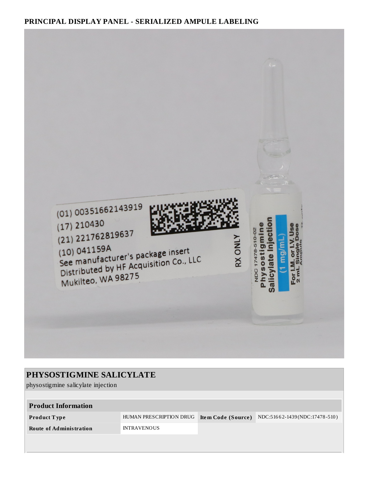#### **PRINCIPAL DISPLAY PANEL - SERIALIZED AMPULE LABELING**



| <b>PHYSOSTIGMINE SALICYLATE</b>    |                         |                    |                               |  |  |  |  |
|------------------------------------|-------------------------|--------------------|-------------------------------|--|--|--|--|
| physostigmine salicylate injection |                         |                    |                               |  |  |  |  |
|                                    |                         |                    |                               |  |  |  |  |
| <b>Product Information</b>         |                         |                    |                               |  |  |  |  |
| Product Type                       | HUMAN PRESCRIPTION DRUG | Item Code (Source) | NDC:51662-1439(NDC:17478-510) |  |  |  |  |
| <b>Route of Administration</b>     | <b>INTRAVENOUS</b>      |                    |                               |  |  |  |  |
|                                    |                         |                    |                               |  |  |  |  |
|                                    |                         |                    |                               |  |  |  |  |